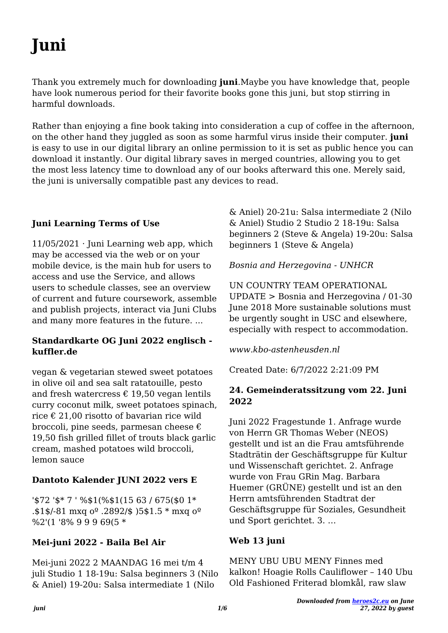# **Juni**

Thank you extremely much for downloading **juni**.Maybe you have knowledge that, people have look numerous period for their favorite books gone this juni, but stop stirring in harmful downloads.

Rather than enjoying a fine book taking into consideration a cup of coffee in the afternoon, on the other hand they juggled as soon as some harmful virus inside their computer. **juni** is easy to use in our digital library an online permission to it is set as public hence you can download it instantly. Our digital library saves in merged countries, allowing you to get the most less latency time to download any of our books afterward this one. Merely said, the juni is universally compatible past any devices to read.

# **Juni Learning Terms of Use**

 $11/05/2021$  · Juni Learning web app, which may be accessed via the web or on your mobile device, is the main hub for users to access and use the Service, and allows users to schedule classes, see an overview of current and future coursework, assemble and publish projects, interact via Juni Clubs and many more features in the future. ...

#### **Standardkarte OG Juni 2022 englisch kuffler.de**

vegan & vegetarian stewed sweet potatoes in olive oil and sea salt ratatouille, pesto and fresh watercress  $\epsilon$  19,50 vegan lentils curry coconut milk, sweet potatoes spinach, rice € 21,00 risotto of bavarian rice wild broccoli, pine seeds, parmesan cheese  $\epsilon$ 19,50 fish grilled fillet of trouts black garlic cream, mashed potatoes wild broccoli, lemon sauce

# **Dantoto Kalender JUNI 2022 vers E**

'\$72 '\$\* 7 ' %\$1(%\$1(15 63 / 675(\$0 1\* .\$1\$/-81 mxq  $o^{\circ}$ .2892/\$ )5\$1.5 \* mxq  $o^{\circ}$ %2'(1 '8% 9 9 9 69(5 \*

# **Mei-juni 2022 - Baila Bel Air**

Mei-juni 2022 2 MAANDAG 16 mei t/m 4 juli Studio 1 18-19u: Salsa beginners 3 (Nilo & Aniel) 19-20u: Salsa intermediate 1 (Nilo

& Aniel) 20-21u: Salsa intermediate 2 (Nilo & Aniel) Studio 2 Studio 2 18-19u: Salsa beginners 2 (Steve & Angela) 19-20u: Salsa beginners 1 (Steve & Angela)

*Bosnia and Herzegovina - UNHCR*

UN COUNTRY TEAM OPERATIONAL UPDATE > Bosnia and Herzegovina / 01-30 June 2018 More sustainable solutions must be urgently sought in USC and elsewhere, especially with respect to accommodation.

*www.kbo-astenheusden.nl*

Created Date: 6/7/2022 2:21:09 PM

#### **24. Gemeinderatssitzung vom 22. Juni 2022**

Juni 2022 Fragestunde 1. Anfrage wurde von Herrn GR Thomas Weber (NEOS) gestellt und ist an die Frau amtsführende Stadträtin der Geschäftsgruppe für Kultur und Wissenschaft gerichtet. 2. Anfrage wurde von Frau GRin Mag. Barbara Huemer (GRÜNE) gestellt und ist an den Herrn amtsführenden Stadtrat der Geschäftsgruppe für Soziales, Gesundheit und Sport gerichtet. 3. …

# **Web 13 juni**

MENY UBU UBU MENY Finnes med kalkon! Hoagie Rolls Cauliflower – 140 Ubu Old Fashioned Friterad blomkål, raw slaw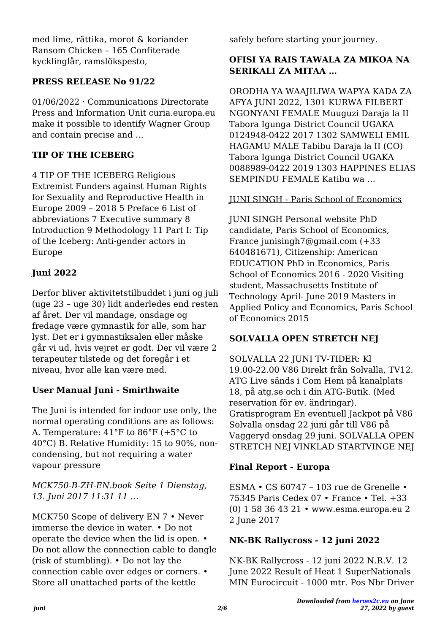med lime, rättika, morot & koriander Ransom Chicken – 165 Confiterade kycklinglår, ramslökspesto,

# **PRESS RELEASE No 91/22**

01/06/2022 · Communications Directorate Press and Information Unit curia.europa.eu make it possible to identify Wagner Group and contain precise and …

# **TIP OF THE ICEBERG**

4 TIP OF THE ICEBERG Religious Extremist Funders against Human Rights for Sexuality and Reproductive Health in Europe 2009 – 2018 5 Preface 6 List of abbreviations 7 Executive summary 8 Introduction 9 Methodology 11 Part I: Tip of the Iceberg: Anti-gender actors in Europe

# **Juni 2022**

Derfor bliver aktivitetstilbuddet i juni og juli (uge 23 – uge 30) lidt anderledes end resten af året. Der vil mandage, onsdage og fredage være gymnastik for alle, som har lyst. Det er i gymnastiksalen eller måske går vi ud, hvis vejret er godt. Der vil være 2 terapeuter tilstede og det foregår i et niveau, hvor alle kan være med.

# **User Manual Juni - Smirthwaite**

The Juni is intended for indoor use only, the normal operating conditions are as follows: A. Temperature: 41°F to 86°F (+5°C to 40°C) B. Relative Humidity: 15 to 90%, noncondensing, but not requiring a water vapour pressure

# *MCK750-B-ZH-EN.book Seite 1 Dienstag, 13. Juni 2017 11:31 11 …*

MCK750 Scope of delivery EN 7 • Never immerse the device in water. • Do not operate the device when the lid is open. • Do not allow the connection cable to dangle (risk of stumbling). • Do not lay the connection cable over edges or corners. • Store all unattached parts of the kettle

safely before starting your journey.

# **OFISI YA RAIS TAWALA ZA MIKOA NA SERIKALI ZA MITAA …**

ORODHA YA WAAJILIWA WAPYA KADA ZA AFYA JUNI 2022, 1301 KURWA FILBERT NGONYANI FEMALE Muuguzi Daraja la II Tabora Igunga District Council UGAKA 0124948-0422 2017 1302 SAMWELI EMIL HAGAMU MALE Tabibu Daraja la II (CO) Tabora Igunga District Council UGAKA 0088989-0422 2019 1303 HAPPINES ELIAS SEMPINDU FEMALE Katibu wa …

# JUNI SINGH - Paris School of Economics

JUNI SINGH Personal website PhD candidate, Paris School of Economics, France junisingh7@gmail.com (+33 640481671), Citizenship: American EDUCATION PhD in Economics, Paris School of Economics 2016 - 2020 Visiting student, Massachusetts Institute of Technology April- June 2019 Masters in Applied Policy and Economics, Paris School of Economics 2015

# **SOLVALLA OPEN STRETCH NEJ**

SOLVALLA 22 JUNI TV-TIDER: Kl 19.00-22.00 V86 Direkt från Solvalla, TV12. ATG Live sänds i Com Hem på kanalplats 18, på atg.se och i din ATG-Butik. (Med reservation för ev. ändringar). Gratisprogram En eventuell Jackpot på V86 Solvalla onsdag 22 juni går till V86 på Vaggeryd onsdag 29 juni. SOLVALLA OPEN STRETCH NEJ VINKLAD STARTVINGE NEJ

# **Final Report - Europa**

ESMA • CS 60747 – 103 rue de Grenelle • 75345 Paris Cedex 07 • France • Tel. +33 (0) 1 58 36 43 21 • www.esma.europa.eu 2 2 June 2017

#### **NK-BK Rallycross - 12 juni 2022**

NK-BK Rallycross - 12 juni 2022 N.R.V. 12 June 2022 Result of Heat 1 SuperNationals MIN Eurocircuit - 1000 mtr. Pos Nbr Driver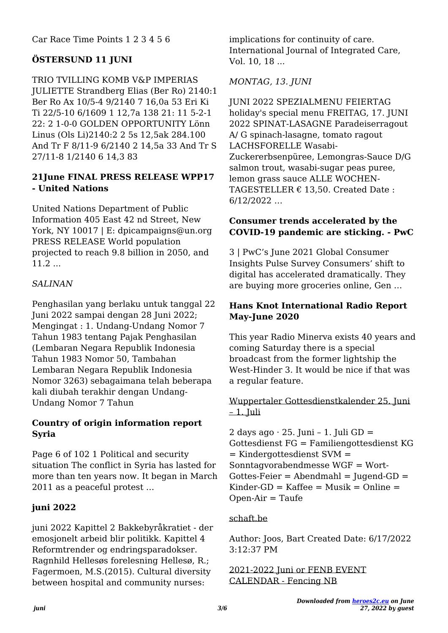Car Race Time Points 1 2 3 4 5 6

# **ÖSTERSUND 11 JUNI**

TRIO TVILLING KOMB V&P IMPERIAS JULIETTE Strandberg Elias (Ber Ro) 2140:1 Ber Ro Ax 10/5-4 9/2140 7 16,0a 53 Eri Ki Ti 22/5-10 6/1609 1 12,7a 138 21: 11 5-2-1 22: 2 1-0-0 GOLDEN OPPORTUNITY Lönn Linus (Ols Li)2140:2 2 5s 12,5ak 284.100 And Tr F 8/11-9 6/2140 2 14,5a 33 And Tr S 27/11-8 1/2140 6 14,3 83

# **21June FINAL PRESS RELEASE WPP17 - United Nations**

United Nations Department of Public Information 405 East 42 nd Street, New York, NY 10017 | E: dpicampaigns@un.org PRESS RELEASE World population projected to reach 9.8 billion in 2050, and 11.2 ...

# *SALINAN*

Penghasilan yang berlaku untuk tanggal 22 Juni 2022 sampai dengan 28 Juni 2022; Mengingat : 1. Undang-Undang Nomor 7 Tahun 1983 tentang Pajak Penghasilan (Lembaran Negara Republik Indonesia Tahun 1983 Nomor 50, Tambahan Lembaran Negara Republik Indonesia Nomor 3263) sebagaimana telah beberapa kali diubah terakhir dengan Undang-Undang Nomor 7 Tahun

#### **Country of origin information report Syria**

Page 6 of 102 1 Political and security situation The conflict in Syria has lasted for more than ten years now. It began in March 2011 as a peaceful protest …

# **juni 2022**

juni 2022 Kapittel 2 Bakkebyråkratiet - der emosjonelt arbeid blir politikk. Kapittel 4 Reformtrender og endringsparadokser. Ragnhild Hellesøs forelesning Hellesø, R.; Fagermoen, M.S.(2015). Cultural diversity between hospital and community nurses:

implications for continuity of care. International Journal of Integrated Care, Vol. 10, 18 ...

# *MONTAG, 13. JUNI*

JUNI 2022 SPEZIALMENU FEIERTAG holiday's special menu FREITAG, 17. JUNI 2022 SPINAT-LASAGNE Paradeiserragout A/ G spinach-lasagne, tomato ragout LACHSFORELLE Wasabi-Zuckererbsenpüree, Lemongras-Sauce D/G salmon trout, wasabi-sugar peas puree, lemon grass sauce ALLE WOCHEN-TAGESTELLER  $\epsilon$  13,50. Created Date: 6/12/2022 …

#### **Consumer trends accelerated by the COVID-19 pandemic are sticking. - PwC**

3 | PwC's June 2021 Global Consumer Insights Pulse Survey Consumers' shift to digital has accelerated dramatically. They are buying more groceries online, Gen …

# **Hans Knot International Radio Report May-June 2020**

This year Radio Minerva exists 40 years and coming Saturday there is a special broadcast from the former lightship the West-Hinder 3. It would be nice if that was a regular feature.

Wuppertaler Gottesdienstkalender 25. Juni  $-1$ . Juli

2 days ago  $\cdot$  25. Juni – 1. Juli GD = Gottesdienst FG = Familiengottesdienst KG = Kindergottesdienst SVM = Sonntagvorabendmesse WGF = Wort- $Gottes\text{-}Feier = Abendmahl = Juqend\text{-}GD =$ Kinder-GD = Kaffee =  $Musik = Online =$  $Open-Air = Taufe$ 

#### schaft.be

Author: Joos, Bart Created Date: 6/17/2022 3:12:37 PM

2021-2022 Juni or FENB EVENT CALENDAR - Fencing NB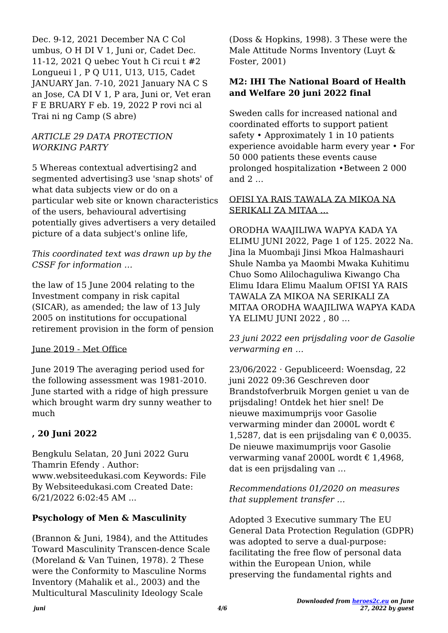Dec. 9-12, 2021 December NA C Col umbus, O H DI V 1, Juni or, Cadet Dec. 11-12, 2021 Q uebec Yout h Ci rcui t #2 Longueui l , P Q U11, U13, U15, Cadet JANUARY Jan. 7-10, 2021 January NA C S an Jose, CA DI V 1, P ara, Juni or, Vet eran F E BRUARY F eb. 19, 2022 P rovi nci al Trai ni ng Camp (S abre)

#### *ARTICLE 29 DATA PROTECTION WORKING PARTY*

5 Whereas contextual advertising2 and segmented advertising3 use 'snap shots' of what data subjects view or do on a particular web site or known characteristics of the users, behavioural advertising potentially gives advertisers a very detailed picture of a data subject's online life,

#### *This coordinated text was drawn up by the CSSF for information …*

the law of 15 June 2004 relating to the Investment company in risk capital (SICAR), as amended; the law of 13 July 2005 on institutions for occupational retirement provision in the form of pension

#### June 2019 - Met Office

June 2019 The averaging period used for the following assessment was 1981-2010. June started with a ridge of high pressure which brought warm dry sunny weather to much

# **, 20 Juni 2022**

Bengkulu Selatan, 20 Juni 2022 Guru Thamrin Efendy . Author: www.websiteedukasi.com Keywords: File By Websiteedukasi.com Created Date: 6/21/2022 6:02:45 AM ...

#### **Psychology of Men & Masculinity**

(Brannon & Juni, 1984), and the Attitudes Toward Masculinity Transcen-dence Scale (Moreland & Van Tuinen, 1978). 2 These were the Conformity to Masculine Norms Inventory (Mahalik et al., 2003) and the Multicultural Masculinity Ideology Scale

(Doss & Hopkins, 1998). 3 These were the Male Attitude Norms Inventory (Luyt & Foster, 2001)

#### **M2: IHI The National Board of Health and Welfare 20 juni 2022 final**

Sweden calls for increased national and coordinated efforts to support patient safety • Approximately 1 in 10 patients experience avoidable harm every year • For 50 000 patients these events cause prolonged hospitalization •Between 2 000 and 2 …

#### OFISI YA RAIS TAWALA ZA MIKOA NA SERIKALI ZA MITAA …

ORODHA WAAJILIWA WAPYA KADA YA ELIMU JUNI 2022, Page 1 of 125. 2022 Na. Jina la Muombaji Jinsi Mkoa Halmashauri Shule Namba ya Maombi Mwaka Kuhitimu Chuo Somo Alilochaguliwa Kiwango Cha Elimu Idara Elimu Maalum OFISI YA RAIS TAWALA ZA MIKOA NA SERIKALI ZA MITAA ORODHA WAAJILIWA WAPYA KADA YA ELIMU JUNI 2022 , 80 …

*23 juni 2022 een prijsdaling voor de Gasolie verwarming en …*

23/06/2022 · Gepubliceerd: Woensdag, 22 juni 2022 09:36 Geschreven door Brandstofverbruik Morgen geniet u van de prijsdaling! Ontdek het hier snel! De nieuwe maximumprijs voor Gasolie verwarming minder dan 2000L wordt € 1,5287, dat is een prijsdaling van  $\epsilon$  0,0035. De nieuwe maximumprijs voor Gasolie verwarming vanaf 2000L wordt € 1,4968, dat is een prijsdaling van …

#### *Recommendations 01/2020 on measures that supplement transfer …*

Adopted 3 Executive summary The EU General Data Protection Regulation (GDPR) was adopted to serve a dual-purpose: facilitating the free flow of personal data within the European Union, while preserving the fundamental rights and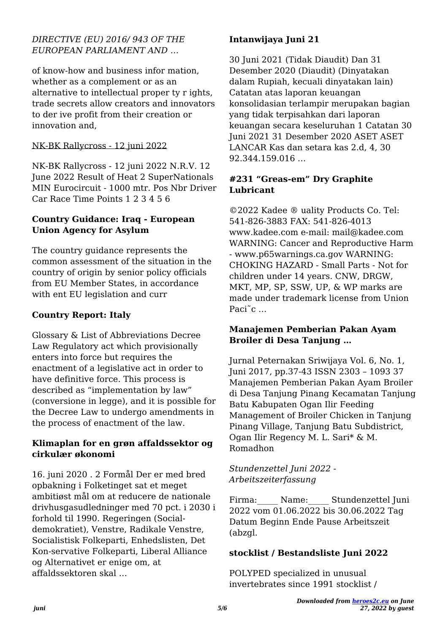#### *DIRECTIVE (EU) 2016/ 943 OF THE EUROPEAN PARLIAMENT AND …*

of know-how and business infor mation, whether as a complement or as an alternative to intellectual proper ty r ights, trade secrets allow creators and innovators to der ive profit from their creation or innovation and,

### NK-BK Rallycross - 12 juni 2022

NK-BK Rallycross - 12 juni 2022 N.R.V. 12 June 2022 Result of Heat 2 SuperNationals MIN Eurocircuit - 1000 mtr. Pos Nbr Driver Car Race Time Points 1 2 3 4 5 6

### **Country Guidance: Iraq - European Union Agency for Asylum**

The country guidance represents the common assessment of the situation in the country of origin by senior policy officials from EU Member States, in accordance with ent EU legislation and curr

# **Country Report: Italy**

Glossary & List of Abbreviations Decree Law Regulatory act which provisionally enters into force but requires the enactment of a legislative act in order to have definitive force. This process is described as "implementation by law" (conversione in legge), and it is possible for the Decree Law to undergo amendments in the process of enactment of the law.

#### **Klimaplan for en grøn affaldssektor og cirkulær økonomi**

16. juni 2020 . 2 Formål Der er med bred opbakning i Folketinget sat et meget ambitiøst mål om at reducere de nationale drivhusgasudledninger med 70 pct. i 2030 i forhold til 1990. Regeringen (Socialdemokratiet), Venstre, Radikale Venstre, Socialistisk Folkeparti, Enhedslisten, Det Kon-servative Folkeparti, Liberal Alliance og Alternativet er enige om, at affaldssektoren skal …

# **Intanwijaya Juni 21**

30 Juni 2021 (Tidak Diaudit) Dan 31 Desember 2020 (Diaudit) (Dinyatakan dalam Rupiah, kecuali dinyatakan lain) Catatan atas laporan keuangan konsolidasian terlampir merupakan bagian yang tidak terpisahkan dari laporan keuangan secara keseluruhan 1 Catatan 30 Juni 2021 31 Desember 2020 ASET ASET LANCAR Kas dan setara kas 2.d, 4, 30 92.344.159.016 …

### **#231 "Greas-em" Dry Graphite Lubricant**

©2022 Kadee ® uality Products Co. Tel: 541-826-3883 FAX: 541-826-4013 www.kadee.com e-mail: mail@kadee.com WARNING: Cancer and Reproductive Harm - www.p65warnings.ca.gov WARNING: CHOKING HAZARD - Small Parts - Not for children under 14 years. CNW, DRGW, MKT, MP, SP, SSW, UP, & WP marks are made under trademark license from Union Paci<sup> $\tilde{c}$ </sup> ...

#### **Manajemen Pemberian Pakan Ayam Broiler di Desa Tanjung …**

Jurnal Peternakan Sriwijaya Vol. 6, No. 1, Juni 2017, pp.37-43 ISSN 2303 – 1093 37 Manajemen Pemberian Pakan Ayam Broiler di Desa Tanjung Pinang Kecamatan Tanjung Batu Kabupaten Ogan Ilir Feeding Management of Broiler Chicken in Tanjung Pinang Village, Tanjung Batu Subdistrict, Ogan Ilir Regency M. L. Sari\* & M. Romadhon

#### *Stundenzettel Juni 2022 - Arbeitszeiterfassung*

Firma: Name: Stundenzettel Juni 2022 vom 01.06.2022 bis 30.06.2022 Tag Datum Beginn Ende Pause Arbeitszeit (abzgl.

#### **stocklist / Bestandsliste Juni 2022**

POLYPED specialized in unusual invertebrates since 1991 stocklist /